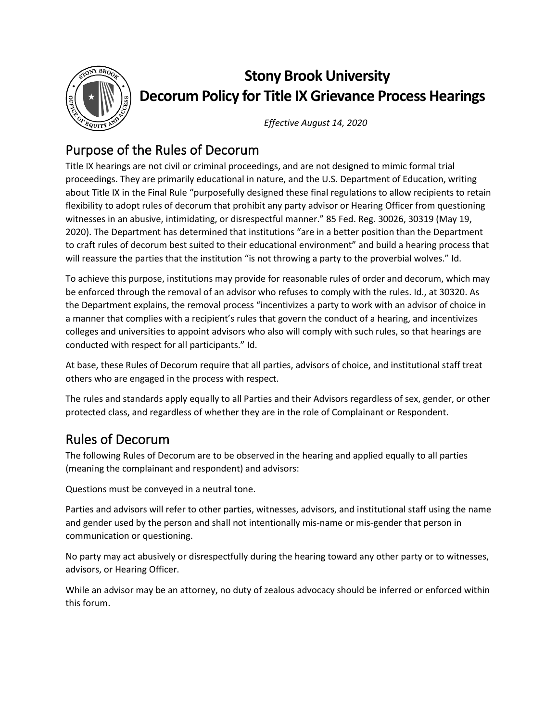

# **Stony Brook University Decorum Policy for Title IX Grievance Process Hearings**

*Effective August 14, 2020*

## Purpose of the Rules of Decorum

Title IX hearings are not civil or criminal proceedings, and are not designed to mimic formal trial proceedings. They are primarily educational in nature, and the U.S. Department of Education, writing about Title IX in the Final Rule "purposefully designed these final regulations to allow recipients to retain flexibility to adopt rules of decorum that prohibit any party advisor or Hearing Officer from questioning witnesses in an abusive, intimidating, or disrespectful manner." 85 Fed. Reg. 30026, 30319 (May 19, 2020). The Department has determined that institutions "are in a better position than the Department to craft rules of decorum best suited to their educational environment" and build a hearing process that will reassure the parties that the institution "is not throwing a party to the proverbial wolves." Id.

To achieve this purpose, institutions may provide for reasonable rules of order and decorum, which may be enforced through the removal of an advisor who refuses to comply with the rules. Id., at 30320. As the Department explains, the removal process "incentivizes a party to work with an advisor of choice in a manner that complies with a recipient's rules that govern the conduct of a hearing, and incentivizes colleges and universities to appoint advisors who also will comply with such rules, so that hearings are conducted with respect for all participants." Id.

At base, these Rules of Decorum require that all parties, advisors of choice, and institutional staff treat others who are engaged in the process with respect.

The rules and standards apply equally to all Parties and their Advisors regardless of sex, gender, or other protected class, and regardless of whether they are in the role of Complainant or Respondent.

## Rules of Decorum

The following Rules of Decorum are to be observed in the hearing and applied equally to all parties (meaning the complainant and respondent) and advisors:

Questions must be conveyed in a neutral tone.

Parties and advisors will refer to other parties, witnesses, advisors, and institutional staff using the name and gender used by the person and shall not intentionally mis-name or mis-gender that person in communication or questioning.

No party may act abusively or disrespectfully during the hearing toward any other party or to witnesses, advisors, or Hearing Officer.

While an advisor may be an attorney, no duty of zealous advocacy should be inferred or enforced within this forum.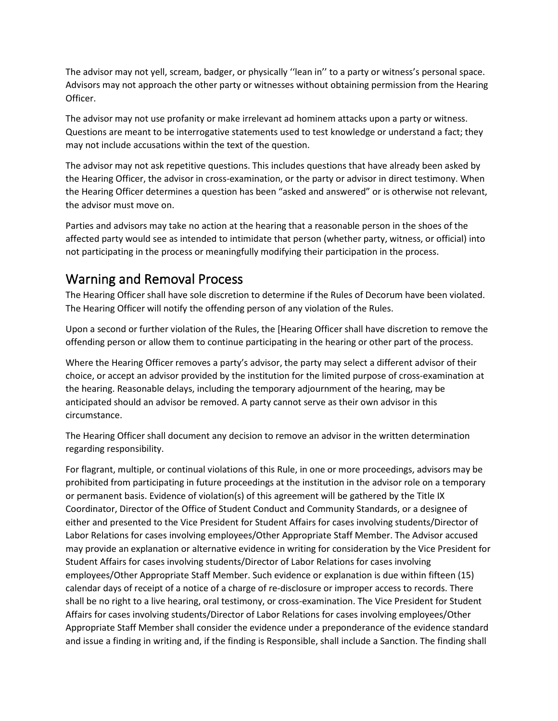The advisor may not yell, scream, badger, or physically ''lean in'' to a party or witness's personal space. Advisors may not approach the other party or witnesses without obtaining permission from the Hearing Officer.

The advisor may not use profanity or make irrelevant ad hominem attacks upon a party or witness. Questions are meant to be interrogative statements used to test knowledge or understand a fact; they may not include accusations within the text of the question.

The advisor may not ask repetitive questions. This includes questions that have already been asked by the Hearing Officer, the advisor in cross-examination, or the party or advisor in direct testimony. When the Hearing Officer determines a question has been "asked and answered" or is otherwise not relevant, the advisor must move on.

Parties and advisors may take no action at the hearing that a reasonable person in the shoes of the affected party would see as intended to intimidate that person (whether party, witness, or official) into not participating in the process or meaningfully modifying their participation in the process.

#### Warning and Removal Process

The Hearing Officer shall have sole discretion to determine if the Rules of Decorum have been violated. The Hearing Officer will notify the offending person of any violation of the Rules.

Upon a second or further violation of the Rules, the [Hearing Officer shall have discretion to remove the offending person or allow them to continue participating in the hearing or other part of the process.

Where the Hearing Officer removes a party's advisor, the party may select a different advisor of their choice, or accept an advisor provided by the institution for the limited purpose of cross-examination at the hearing. Reasonable delays, including the temporary adjournment of the hearing, may be anticipated should an advisor be removed. A party cannot serve as their own advisor in this circumstance.

The Hearing Officer shall document any decision to remove an advisor in the written determination regarding responsibility.

For flagrant, multiple, or continual violations of this Rule, in one or more proceedings, advisors may be prohibited from participating in future proceedings at the institution in the advisor role on a temporary or permanent basis. Evidence of violation(s) of this agreement will be gathered by the Title IX Coordinator, Director of the Office of Student Conduct and Community Standards, or a designee of either and presented to the Vice President for Student Affairs for cases involving students/Director of Labor Relations for cases involving employees/Other Appropriate Staff Member. The Advisor accused may provide an explanation or alternative evidence in writing for consideration by the Vice President for Student Affairs for cases involving students/Director of Labor Relations for cases involving employees/Other Appropriate Staff Member. Such evidence or explanation is due within fifteen (15) calendar days of receipt of a notice of a charge of re-disclosure or improper access to records. There shall be no right to a live hearing, oral testimony, or cross-examination. The Vice President for Student Affairs for cases involving students/Director of Labor Relations for cases involving employees/Other Appropriate Staff Member shall consider the evidence under a preponderance of the evidence standard and issue a finding in writing and, if the finding is Responsible, shall include a Sanction. The finding shall